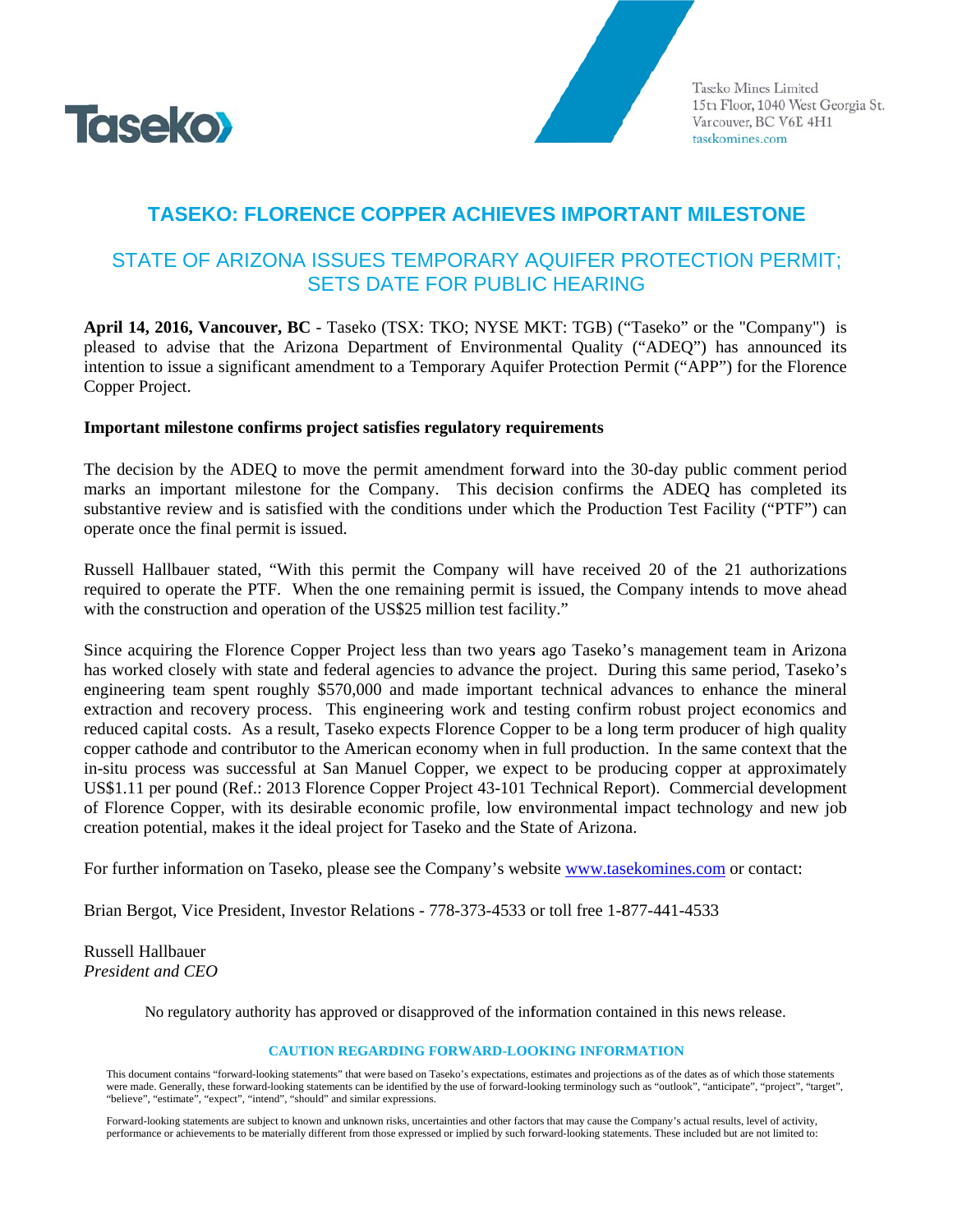

Taseko Mines Limited 15th Floor, 1040 West Georgia St. Vancouver, BC V6E 4H1 tasekomines.com

## **TASEKO: FLORENCE COPPER ACHIEVES IMPORTANT MILESTONE**

## STATE OF ARIZONA ISSUES TEMPORARY AQUIFER PROTECTION PERMIT: **SETS DATE FOR PUBLIC HEARING**

April 14, 2016, Vancouver, BC - Taseko (TSX: TKO; NYSE MKT: TGB) ("Taseko" or the "Company") is pleased to advise that the Arizona Department of Environmental Quality ("ADEQ") has announced its intention to issue a significant amendment to a Temporary Aquifer Protection Permit ("APP") for the Florence Copper Project.

## Important milestone confirms project satisfies regulatory requirements

The decision by the ADEQ to move the permit amendment forward into the 30-day public comment period marks an important milestone for the Company. This decision confirms the ADEQ has completed its substantive review and is satisfied with the conditions under which the Production Test Facility ("PTF") can operate once the final permit is issued.

Russell Hallbauer stated, "With this permit the Company will have received 20 of the 21 authorizations required to operate the PTF. When the one remaining permit is issued, the Company intends to move ahead with the construction and operation of the US\$25 million test facility."

Since acquiring the Florence Copper Project less than two years ago Taseko's management team in Arizona has worked closely with state and federal agencies to advance the project. During this same period, Taseko's engineering team spent roughly \$570,000 and made important technical advances to enhance the mineral extraction and recovery process. This engineering work and testing confirm robust project economics and reduced capital costs. As a result, Taseko expects Florence Copper to be a long term producer of high quality copper cathode and contributor to the American economy when in full production. In the same context that the in-situ process was successful at San Manuel Copper, we expect to be producing copper at approximately US\$1.11 per pound (Ref.: 2013 Florence Copper Project 43-101 Technical Report). Commercial development of Florence Copper, with its desirable economic profile, low environmental impact technology and new job creation potential, makes it the ideal project for Taseko and the State of Arizona.

For further information on Taseko, please see the Company's website www.tasekomines.com or contact:

Brian Bergot, Vice President, Investor Relations - 778-373-4533 or toll free 1-877-441-4533

**Russell Hallbauer** President and CEO

No regulatory authority has approved or disapproved of the information contained in this news release.

## **CAUTION REGARDING FORWARD-LOOKING INFORMATION**

This document contains "forward-looking statements" that were based on Taseko's expectations, estimates and projections as of the dates as of which those statements were made. Generally, these forward-looking statements can be identified by the use of forward-looking terminology such as "outlook", "anticipate", "project", "target", "believe", "estimate", "expect", "intend", "should" and similar expressions.

Forward-looking statements are subject to known and unknown risks, uncertainties and other factors that may cause the Company's actual results, level of activity, performance or achievements to be materially different from those expressed or implied by such forward-looking statements. These included but are not limited to: